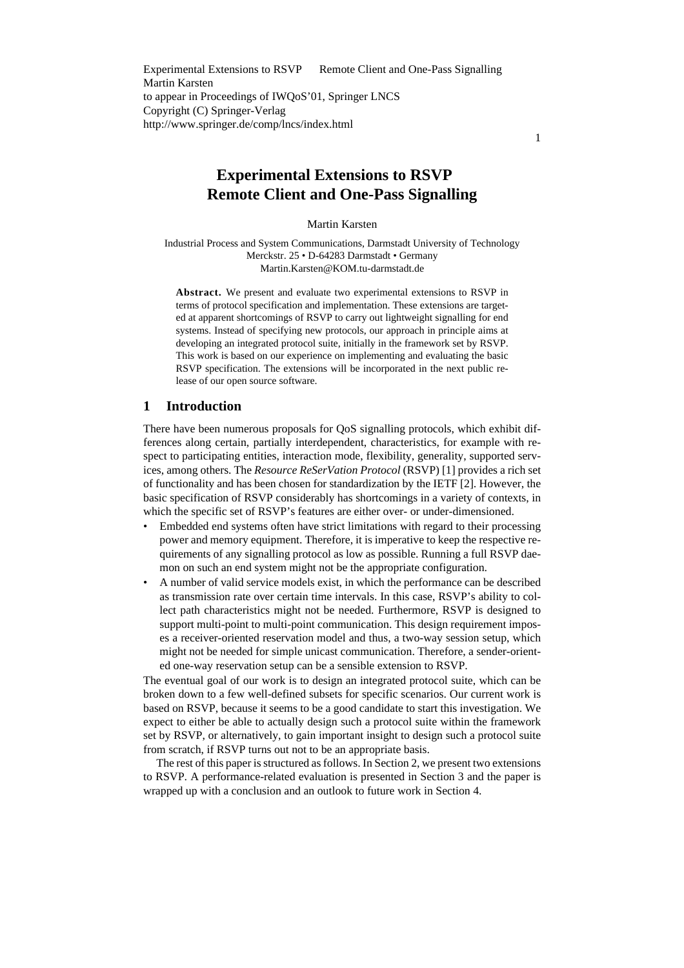1

# <span id="page-0-0"></span>**Experimental Extensions to RSVP Remote Client and One-Pass Signalling**

Martin Karsten

Industrial Process and System Communications, Darmstadt University of Technology Merckstr. 25 • D-64283 Darmstadt • Germany Martin.Karsten@KOM.tu-darmstadt.de

**Abstract.** We present and evaluate two experimental extensions to RSVP in terms of protocol specification and implementation. These extensions are targeted at apparent shortcomings of RSVP to carry out lightweight signalling for end systems. Instead of specifying new protocols, our approach in principle aims at developing an integrated protocol suite, initially in the framework set by RSVP. This work is based on our experience on implementing and evaluating the basic RSVP specification. The extensions will be incorporated in the next public release of our open source software.

### **1 Introduction**

There have been numerous proposals for QoS signalling protocols, which exhibit differences along certain, partially interdependent, characteristics, for example with respect to participating entities, interaction mode, flexibility, generality, supported services, among others. The *Resource ReSerVation Protocol* (RSVP) [1] provides a rich set of functionality and has been chosen for standardization by the IETF [2]. However, the basic specification of RSVP considerably has shortcomings in a variety of contexts, in which the specific set of RSVP's features are either over- or under-dimensioned.

- Embedded end systems often have strict limitations with regard to their processing power and memory equipment. Therefore, it is imperative to keep the respective requirements of any signalling protocol as low as possible. Running a full RSVP daemon on such an end system might not be the appropriate configuration.
- A number of valid service models exist, in which the performance can be described as transmission rate over certain time intervals. In this case, RSVP's ability to collect path characteristics might not be needed. Furthermore, RSVP is designed to support multi-point to multi-point communication. This design requirement imposes a receiver-oriented reservation model and thus, a two-way session setup, which might not be needed for simple unicast communication. Therefore, a sender-oriented one-way reservation setup can be a sensible extension to RSVP.

The eventual goal of our work is to design an integrated protocol suite, which can be broken down to a few well-defined subsets for specific scenarios. Our current work is based on RSVP, because it seems to be a good candidate to start this investigation. We expect to either be able to actually design such a protocol suite within the framework set by RSVP, or alternatively, to gain important insight to design such a protocol suite from scratch, if RSVP turns out not to be an appropriate basis.

The rest of this paper is structured as follows. In [Section 2,](#page-1-0) we present two extensions to RSVP. A performance-related evaluation is presented in [Section 3 a](#page-3-0)nd the paper is wrapped up with a conclusion and an outlook to future work in Sec[tion 4.](#page-5-0)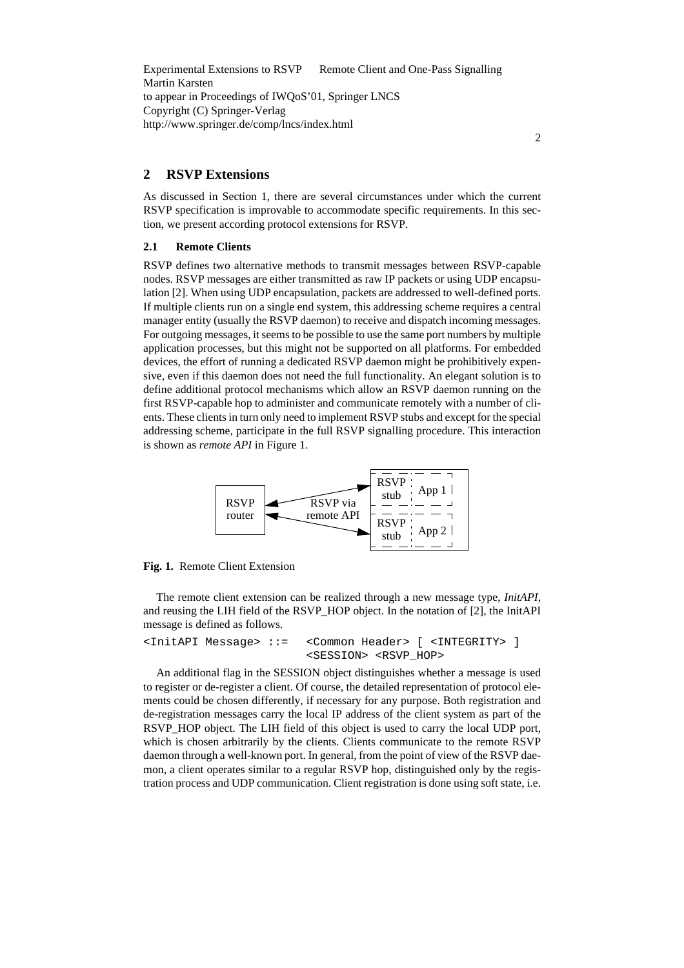## <span id="page-1-0"></span>**2 RSVP Extensions**

As discussed in [Section 1](#page-0-0), there are several circumstances under which the current RSVP specification is improvable to accommodate specific requirements. In this section, we present according protocol extensions for RSVP.

#### **2.1 Remote Clients**

RSVP defines two alternative methods to transmit messages between RSVP-capable nodes. RSVP messages are either transmitted as raw IP packets or using UDP encapsulation [2]. When using UDP encapsulation, packets are addressed to well-defined ports. If multiple clients run on a single end system, this addressing scheme requires a central manager entity (usually the RSVP daemon) to receive and dispatch incoming messages. For outgoing messages, it seems to be possible to use the same port numbers by multiple application processes, but this might not be supported on all platforms. For embedded devices, the effort of running a dedicated RSVP daemon might be prohibitively expensive, even if this daemon does not need the full functionality. An elegant solution is to define additional protocol mechanisms which allow an RSVP daemon running on the first RSVP-capable hop to administer and communicate remotely with a number of clients. These clients in turn only need to implement RSVP stubs and except for the special addressing scheme, participate in the full RSVP signalling procedure. This interaction is shown as *remote API* in Figure 1.



**Fig. 1.** Remote Client Extension

The remote client extension can be realized through a new message type, *InitAPI*, and reusing the LIH field of the RSVP\_HOP object. In the notation of [2], the InitAPI message is defined as follows.

<InitAPI Message> ::= <Common Header> [ <INTEGRITY> ] <SESSION> <RSVP\_HOP>

An additional flag in the SESSION object distinguishes whether a message is used to register or de-register a client. Of course, the detailed representation of protocol elements could be chosen differently, if necessary for any purpose. Both registration and de-registration messages carry the local IP address of the client system as part of the RSVP\_HOP object. The LIH field of this object is used to carry the local UDP port, which is chosen arbitrarily by the clients. Clients communicate to the remote RSVP daemon through a well-known port. In general, from the point of view of the RSVP daemon, a client operates similar to a regular RSVP hop, distinguished only by the registration process and UDP communication. Client registration is done using soft state, i.e.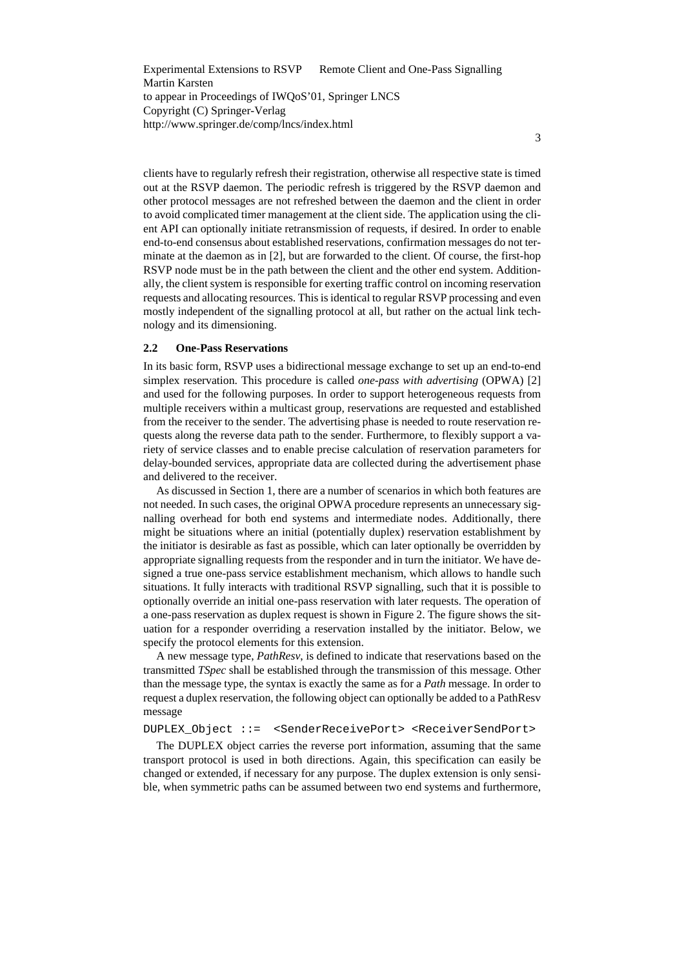3

clients have to regularly refresh their registration, otherwise all respective state is timed out at the RSVP daemon. The periodic refresh is triggered by the RSVP daemon and other protocol messages are not refreshed between the daemon and the client in order to avoid complicated timer management at the client side. The application using the client API can optionally initiate retransmission of requests, if desired. In order to enable end-to-end consensus about established reservations, confirmation messages do not terminate at the daemon as in [2], but are forwarded to the client. Of course, the first-hop RSVP node must be in the path between the client and the other end system. Additionally, the client system is responsible for exerting traffic control on incoming reservation requests and allocating resources. This is identical to regular RSVP processing and even mostly independent of the signalling protocol at all, but rather on the actual link technology and its dimensioning.

#### **2.2 One-Pass Reservations**

In its basic form, RSVP uses a bidirectional message exchange to set up an end-to-end simplex reservation. This procedure is called *one-pass with advertising* (OPWA) [2] and used for the following purposes. In order to support heterogeneous requests from multiple receivers within a multicast group, reservations are requested and established from the receiver to the sender. The advertising phase is needed to route reservation requests along the reverse data path to the sender. Furthermore, to flexibly support a variety of service classes and to enable precise calculation of reservation parameters for delay-bounded services, appropriate data are collected during the advertisement phase and delivered to the receiver.

As discussed in [Section 1](#page-0-0), there are a number of scenarios in which both features are not needed. In such cases, the original OPWA procedure represents an unnecessary signalling overhead for both end systems and intermediate nodes. Additionally, there might be situations where an initial (potentially duplex) reservation establishment by the initiator is desirable as fast as possible, which can later optionally be overridden by appropriate signalling requests from the responder and in turn the initiator. We have designed a true one-pass service establishment mechanism, which allows to handle such situations. It fully interacts with traditional RSVP signalling, such that it is possible to optionally override an initial one-pass reservation with later requests. The operation of a one-pass reservation as duplex request is shown in [Figure 2](#page-3-0). The figure shows the situation for a responder overriding a reservation installed by the initiator. Below, we specify the protocol elements for this extension.

A new message type, *PathResv*, is defined to indicate that reservations based on the transmitted *TSpec* shall be established through the transmission of this message. Other than the message type, the syntax is exactly the same as for a *Path* message. In order to request a duplex reservation, the following object can optionally be added to a PathResv message

#### DUPLEX\_Object ::= <SenderReceivePort> <ReceiverSendPort>

The DUPLEX object carries the reverse port information, assuming that the same transport protocol is used in both directions. Again, this specification can easily be changed or extended, if necessary for any purpose. The duplex extension is only sensible, when symmetric paths can be assumed between two end systems and furthermore,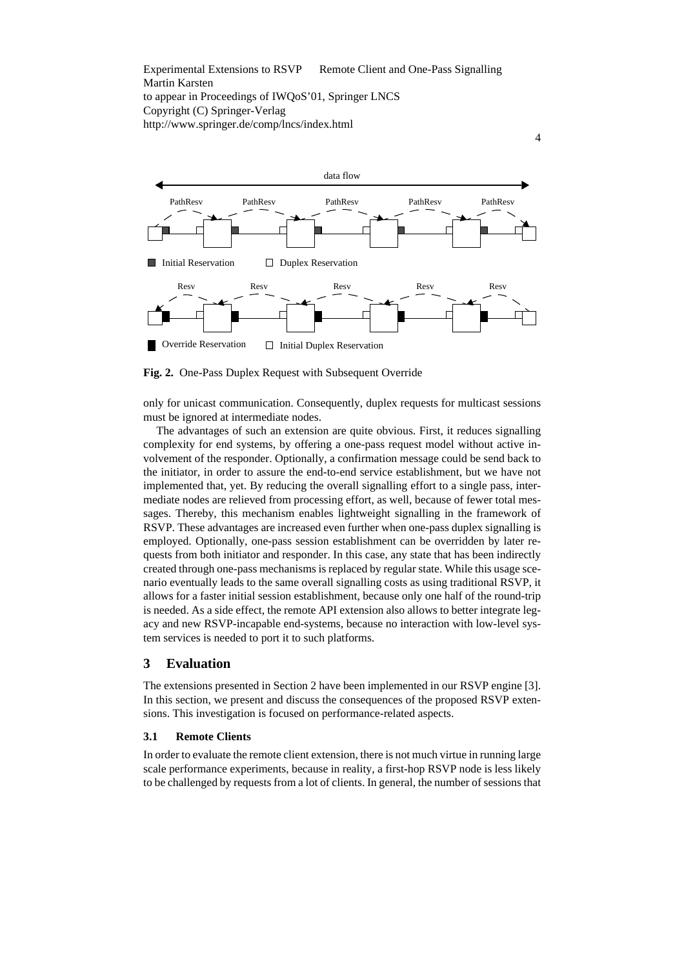<span id="page-3-0"></span>

**Fig. 2.** One-Pass Duplex Request with Subsequent Override

only for unicast communication. Consequently, duplex requests for multicast sessions must be ignored at intermediate nodes.

The advantages of such an extension are quite obvious. First, it reduces signalling complexity for end systems, by offering a one-pass request model without active involvement of the responder. Optionally, a confirmation message could be send back to the initiator, in order to assure the end-to-end service establishment, but we have not implemented that, yet. By reducing the overall signalling effort to a single pass, intermediate nodes are relieved from processing effort, as well, because of fewer total messages. Thereby, this mechanism enables lightweight signalling in the framework of RSVP. These advantages are increased even further when one-pass duplex signalling is employed. Optionally, one-pass session establishment can be overridden by later requests from both initiator and responder. In this case, any state that has been indirectly created through one-pass mechanisms is replaced by regular state. While this usage scenario eventually leads to the same overall signalling costs as using traditional RSVP, it allows for a faster initial session establishment, because only one half of the round-trip is needed. As a side effect, the remote API extension also allows to better integrate legacy and new RSVP-incapable end-systems, because no interaction with low-level system services is needed to port it to such platforms.

#### **3 Evaluation**

The extensions presented in [Section 2](#page-1-0) have been implemented in our RSVP engine [3]. In this section, we present and discuss the consequences of the proposed RSVP extensions. This investigation is focused on performance-related aspects.

#### **3.1 Remote Clients**

In order to evaluate the remote client extension, there is not much virtue in running large scale performance experiments, because in reality, a first-hop RSVP node is less likely to be challenged by requests from a lot of clients. In general, the number of sessions that

4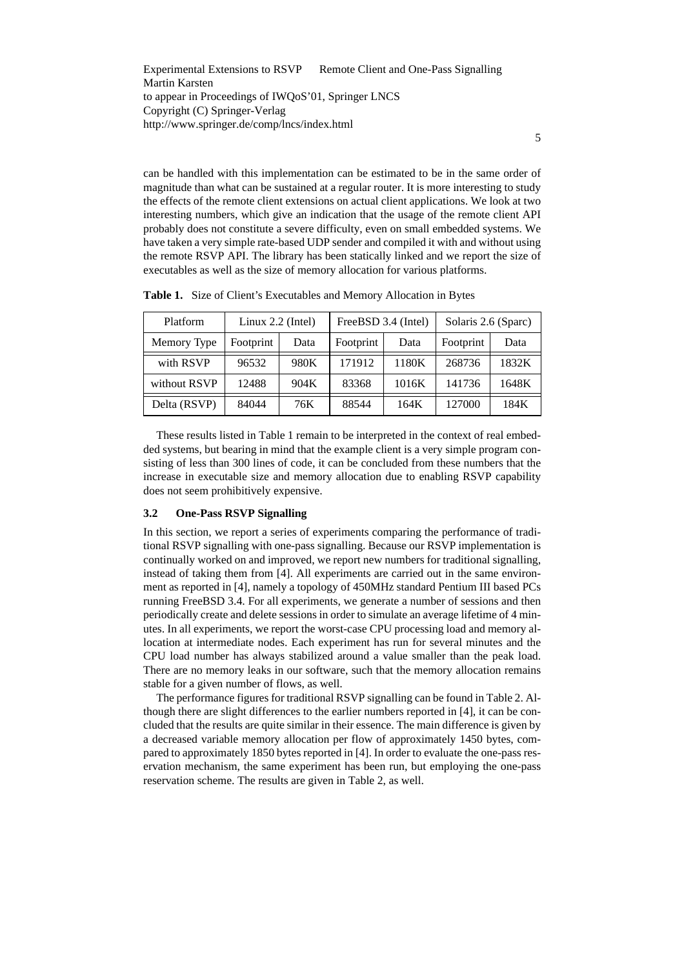5

can be handled with this implementation can be estimated to be in the same order of magnitude than what can be sustained at a regular router. It is more interesting to study the effects of the remote client extensions on actual client applications. We look at two interesting numbers, which give an indication that the usage of the remote client API probably does not constitute a severe difficulty, even on small embedded systems. We have taken a very simple rate-based UDP sender and compiled it with and without using the remote RSVP API. The library has been statically linked and we report the size of executables as well as the size of memory allocation for various platforms.

**Table 1.** Size of Client's Executables and Memory Allocation in Bytes

| Platform     | Linux $2.2$ (Intel) |      | FreeBSD 3.4 (Intel) |       | Solaris 2.6 (Sparc) |       |
|--------------|---------------------|------|---------------------|-------|---------------------|-------|
| Memory Type  | Footprint           | Data | Footprint           | Data  | Footprint           | Data  |
| with RSVP    | 96532               | 980K | 171912              | 1180K | 268736              | 1832K |
| without RSVP | 12488               | 904K | 83368               | 1016K | 141736              | 1648K |
| Delta (RSVP) | 84044               | 76K  | 88544               | 164K  | 127000              | 184K  |

These results listed in Table 1 remain to be interpreted in the context of real embedded systems, but bearing in mind that the example client is a very simple program consisting of less than 300 lines of code, it can be concluded from these numbers that the increase in executable size and memory allocation due to enabling RSVP capability does not seem prohibitively expensive.

#### **3.2 One-Pass RSVP Signalling**

In this section, we report a series of experiments comparing the performance of traditional RSVP signalling with one-pass signalling. Because our RSVP implementation is continually worked on and improved, we report new numbers for traditional signalling, instead of taking them from [4]. All experiments are carried out in the same environment as reported in [4], namely a topology of 450MHz standard Pentium III based PCs running FreeBSD 3.4. For all experiments, we generate a number of sessions and then periodically create and delete sessions in order to simulate an average lifetime of 4 minutes. In all experiments, we report the worst-case CPU processing load and memory allocation at intermediate nodes. Each experiment has run for several minutes and the CPU load number has always stabilized around a value smaller than the peak load. There are no memory leaks in our software, such that the memory allocation remains stable for a given number of flows, as well.

The performance figures for traditional RSVP signalling can be found i[n Table 2](#page-5-0). Although there are slight differences to the earlier numbers reported in [4], it can be concluded that the results are quite similar in their essence. The main difference is given by a decreased variable memory allocation per flow of approximately 1450 bytes, compared to approximately 1850 bytes reported in [4]. In order to evaluate the one-pass reservation mechanism, the same experiment has been run, but employing the one-pass reservation scheme. The results are given in T[able 2, a](#page-5-0)s well.